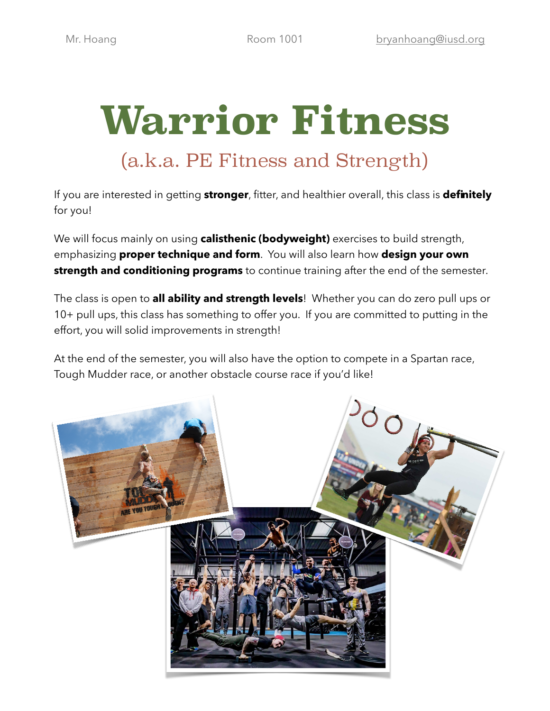# **Warrior Fitness**  (a.k.a. PE Fitness and Strength)

If you are interested in getting **stronger**, fitter, and healthier overall, this class is **definitely** for you!

We will focus mainly on using **calisthenic (bodyweight)** exercises to build strength, emphasizing **proper technique and form**. You will also learn how **design your own strength and conditioning programs** to continue training after the end of the semester.

The class is open to **all ability and strength levels**! Whether you can do zero pull ups or 10+ pull ups, this class has something to offer you. If you are committed to putting in the effort, you will solid improvements in strength!

At the end of the semester, you will also have the option to compete in a Spartan race, Tough Mudder race, or another obstacle course race if you'd like!